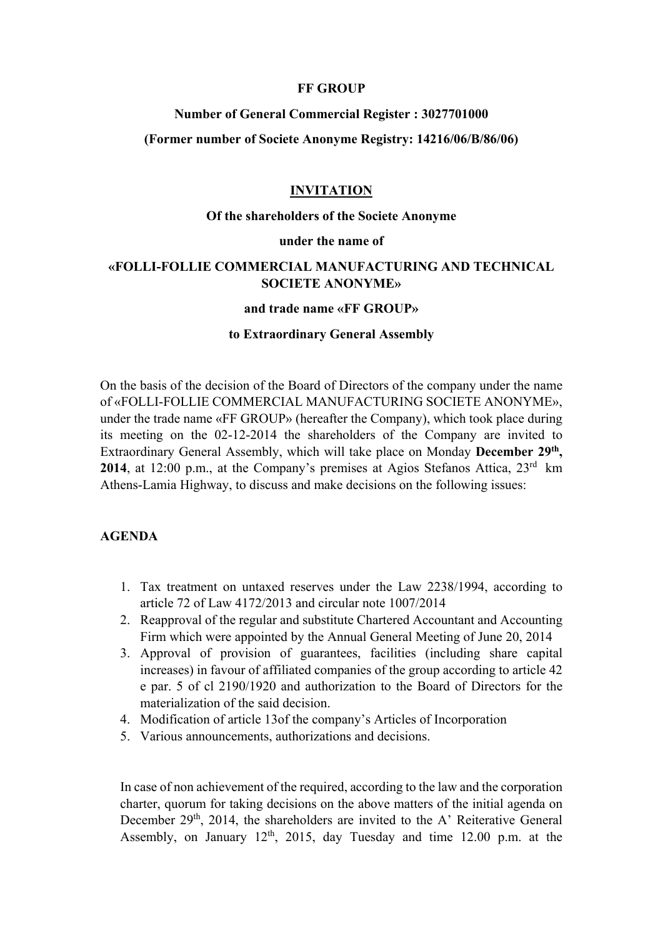#### **FF GROUP**

#### **Νumber of General Commercial Register : 3027701000**

### **(Former number οf Societe Anonyme Registry: 14216/06/B/86/06)**

#### **INVITATION**

#### **Οf the shareholders of the Societe Anonyme**

#### **under the name of**

## **«FOLLI-FOLLIE COMMERCIAL MANUFACTURING AND TECHNICAL SOCIETE ANONYME»**

#### **and trade name «FF GROUP»**

#### **to Extraordinary General Assembly**

On the basis of the decision of the Board of Directors of the company under the name of «FOLLI-FOLLIE COMMERCIAL MANUFACTURING SOCIETE ANONYME», under the trade name «FF GROUP» (hereafter the Company), which took place during its meeting on the 02-12-2014 the shareholders of the Company are invited to Extraordinary General Assembly, which will take place on Monday **December 29th, 2014**, at 12:00 p.m., at the Company's premises at Agios Stefanos Attica, 23<sup>rd</sup> km Athens-Lamia Highway, to discuss and make decisions on the following issues:

### **AGENDA**

- 1. Tax treatment on untaxed reserves under the Law 2238/1994, according to article 72 of Law 4172/2013 and circular note 1007/2014
- 2. Reapproval of the regular and substitute Chartered Accountant and Accounting Firm which were appointed by the Annual General Meeting of June 20, 2014
- 3. Approval of provision of guarantees, facilities (including share capital increases) in favour of affiliated companies of the group according to article 42 e par. 5 of cl 2190/1920 and authorization to the Board of Directors for the materialization of the said decision.
- 4. Modification of article 13οf the company's Articles of Incorporation
- 5. Various announcements, authorizations and decisions.

In case of non achievement οf the required, according to the law and the corporation charter, quorum for taking decisions on the above matters of the initial agenda on December 29<sup>th</sup>, 2014, the shareholders are invited to the A' Reiterative General Assembly, on January  $12<sup>th</sup>$ ,  $2015$ , day Tuesday and time  $12.00$  p.m. at the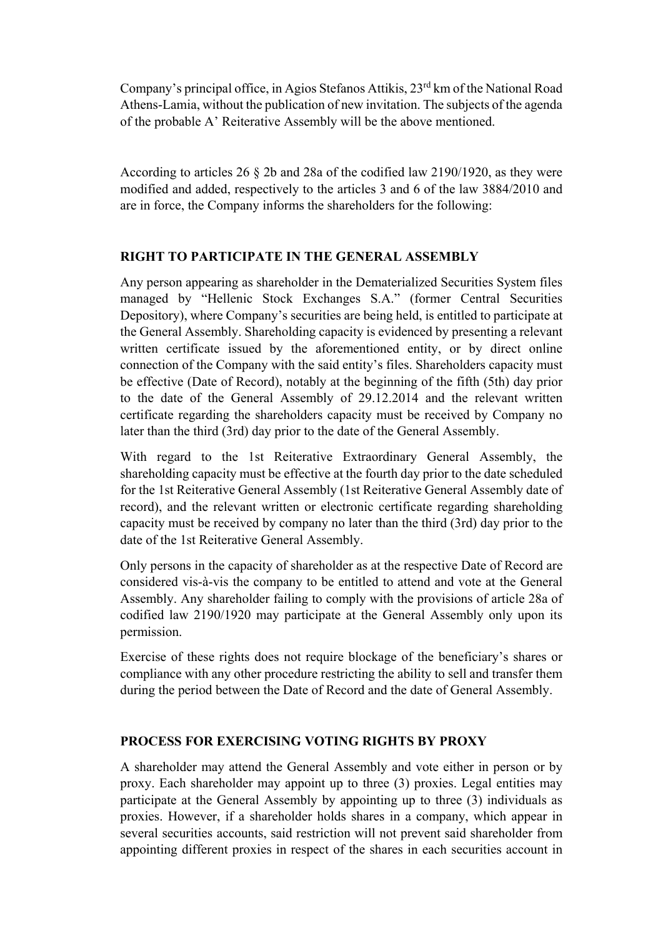Company's principal office, in Agios Stefanos Attikis, 23<sup>rd</sup> km of the National Road Athens-Lamia, without the publication of new invitation. The subjects of the agenda of the probable A' Reiterative Assembly will be the above mentioned.

According to articles 26 § 2b and 28a οf the codified law 2190/1920, as they were modified and added, respectively to the articles 3 and 6 of the law 3884/2010 and are in force, the Company informs the shareholders for the following:

# **RIGHT TO PARTICIPATE IN THE GENERAL ASSEMBLY**

Any person appearing as shareholder in the Dematerialized Securities System files managed by "Hellenic Stock Exchanges S.A." (former Central Securities Depository), where Company's securities are being held, is entitled to participate at the General Assembly. Shareholding capacity is evidenced by presenting a relevant written certificate issued by the aforementioned entity, or by direct online connection of the Company with the said entity's files. Shareholders capacity must be effective (Date of Record), notably at the beginning of the fifth (5th) day prior to the date of the General Assembly of 29.12.2014 and the relevant written certificate regarding the shareholders capacity must be received by Company no later than the third (3rd) day prior to the date of the General Assembly.

With regard to the 1st Reiterative Extraordinary General Assembly, the shareholding capacity must be effective at the fourth day prior to the date scheduled for the 1st Reiterative General Assembly (1st Reiterative General Assembly date of record), and the relevant written or electronic certificate regarding shareholding capacity must be received by company no later than the third (3rd) day prior to the date of the 1st Reiterative General Assembly.

Only persons in the capacity of shareholder as at the respective Date of Record are considered vis-à-vis the company to be entitled to attend and vote at the General Assembly. Any shareholder failing to comply with the provisions of article 28a of codified law 2190/1920 may participate at the General Assembly only upon its permission.

Exercise of these rights does not require blockage of the beneficiary's shares or compliance with any other procedure restricting the ability to sell and transfer them during the period between the Date of Record and the date of General Assembly.

# **PROCESS FOR EXERCISING VOTING RIGHTS BY PROXY**

A shareholder may attend the General Assembly and vote either in person or by proxy. Each shareholder may appoint up to three (3) proxies. Legal entities may participate at the General Assembly by appointing up to three (3) individuals as proxies. However, if a shareholder holds shares in a company, which appear in several securities accounts, said restriction will not prevent said shareholder from appointing different proxies in respect of the shares in each securities account in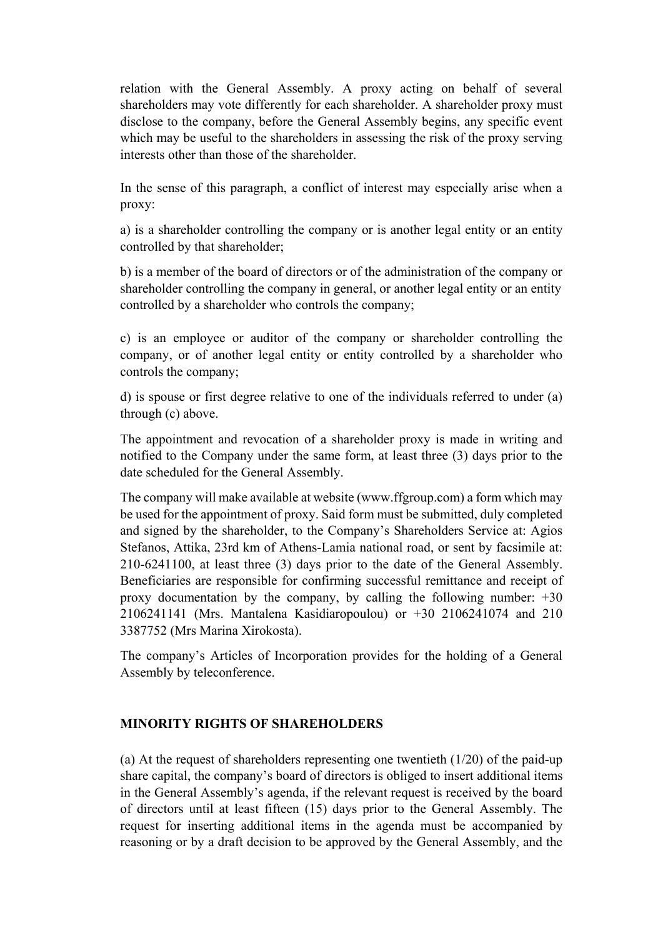relation with the General Assembly. A proxy acting on behalf of several shareholders may vote differently for each shareholder. A shareholder proxy must disclose to the company, before the General Assembly begins, any specific event which may be useful to the shareholders in assessing the risk of the proxy serving interests other than those of the shareholder.

In the sense of this paragraph, a conflict of interest may especially arise when a proxy:

a) is a shareholder controlling the company or is another legal entity or an entity controlled by that shareholder;

b) is a member of the board of directors or of the administration of the company or shareholder controlling the company in general, or another legal entity or an entity controlled by a shareholder who controls the company;

c) is an employee or auditor of the company or shareholder controlling the company, or of another legal entity or entity controlled by a shareholder who controls the company;

d) is spouse or first degree relative to one of the individuals referred to under (a) through (c) above.

The appointment and revocation of a shareholder proxy is made in writing and notified to the Company under the same form, at least three (3) days prior to the date scheduled for the General Assembly.

The company will make available at website (www.ffgroup.com) a form which may be used for the appointment of proxy. Said form must be submitted, duly completed and signed by the shareholder, to the Company's Shareholders Service at: Agios Stefanos, Attika, 23rd km of Athens-Lamia national road, or sent by facsimile at: 210-6241100, at least three (3) days prior to the date of the General Assembly. Beneficiaries are responsible for confirming successful remittance and receipt of proxy documentation by the company, by calling the following number: +30 2106241141 (Mrs. Mantalena Kasidiaropoulou) or +30 2106241074 and 210 3387752 (Mrs Marina Xirokosta).

The company's Articles of Incorporation provides for the holding of a General Assembly by teleconference.

# **MINORITY RIGHTS OF SHAREHOLDERS**

(a) At the request of shareholders representing one twentieth  $(1/20)$  of the paid-up share capital, the company's board of directors is obliged to insert additional items in the General Assembly's agenda, if the relevant request is received by the board of directors until at least fifteen (15) days prior to the General Assembly. The request for inserting additional items in the agenda must be accompanied by reasoning or by a draft decision to be approved by the General Assembly, and the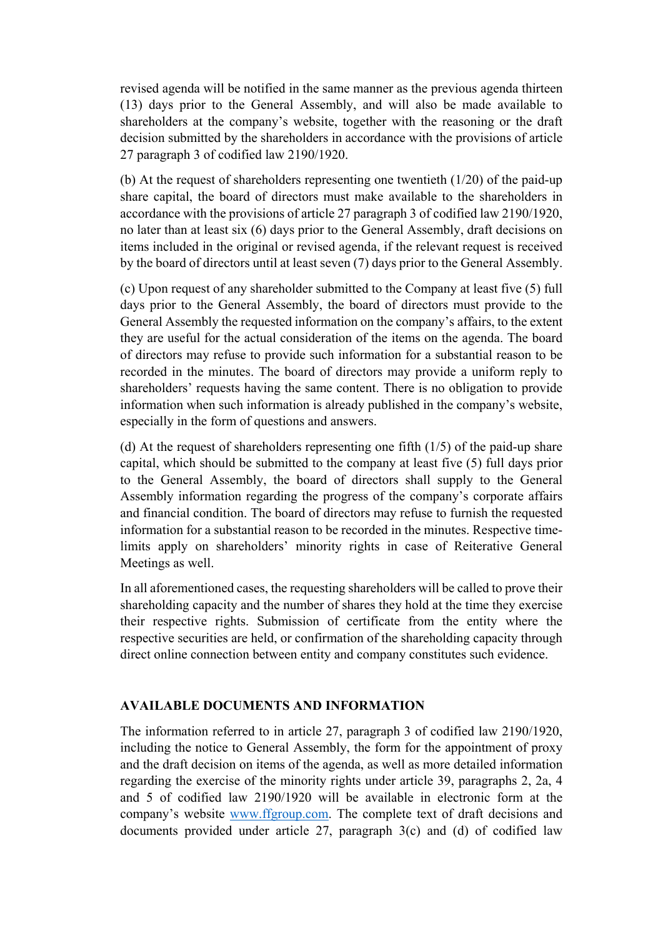revised agenda will be notified in the same manner as the previous agenda thirteen (13) days prior to the General Assembly, and will also be made available to shareholders at the company's website, together with the reasoning or the draft decision submitted by the shareholders in accordance with the provisions of article 27 paragraph 3 of codified law 2190/1920.

(b) At the request of shareholders representing one twentieth (1/20) of the paid-up share capital, the board of directors must make available to the shareholders in accordance with the provisions of article 27 paragraph 3 of codified law 2190/1920, no later than at least six (6) days prior to the General Assembly, draft decisions on items included in the original or revised agenda, if the relevant request is received by the board of directors until at least seven (7) days prior to the General Assembly.

(c) Upon request of any shareholder submitted to the Company at least five (5) full days prior to the General Assembly, the board of directors must provide to the General Assembly the requested information on the company's affairs, to the extent they are useful for the actual consideration of the items on the agenda. The board of directors may refuse to provide such information for a substantial reason to be recorded in the minutes. The board of directors may provide a uniform reply to shareholders' requests having the same content. There is no obligation to provide information when such information is already published in the company's website, especially in the form of questions and answers.

(d) At the request of shareholders representing one fifth (1/5) of the paid-up share capital, which should be submitted to the company at least five (5) full days prior to the General Assembly, the board of directors shall supply to the General Assembly information regarding the progress of the company's corporate affairs and financial condition. The board of directors may refuse to furnish the requested information for a substantial reason to be recorded in the minutes. Respective timelimits apply on shareholders' minority rights in case of Reiterative General Meetings as well.

In all aforementioned cases, the requesting shareholders will be called to prove their shareholding capacity and the number of shares they hold at the time they exercise their respective rights. Submission of certificate from the entity where the respective securities are held, or confirmation of the shareholding capacity through direct online connection between entity and company constitutes such evidence.

### **AVAILABLE DOCUMENTS AND INFORMATION**

The information referred to in article 27, paragraph 3 of codified law 2190/1920, including the notice to General Assembly, the form for the appointment of proxy and the draft decision on items of the agenda, as well as more detailed information regarding the exercise of the minority rights under article 39, paragraphs 2, 2a, 4 and 5 of codified law 2190/1920 will be available in electronic form at the company's website www.ffgroup.com. The complete text of draft decisions and documents provided under article 27, paragraph 3(c) and (d) of codified law